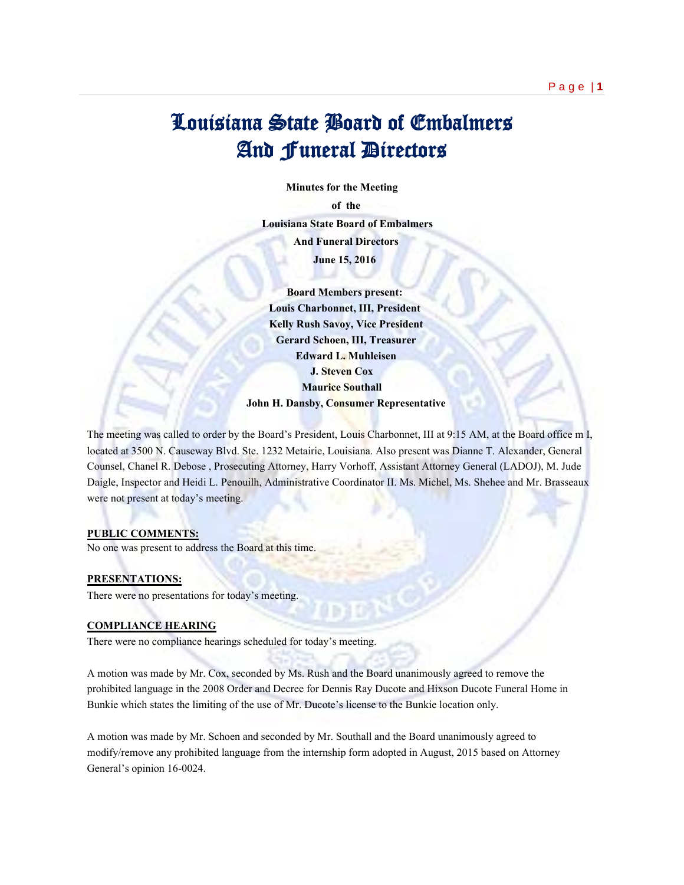# Louisiana State Board of Embalmers And Funeral Directors

 **Minutes for the Meeting of the Louisiana State Board of Embalmers And Funeral Directors June 15, 2016**

> **Board Members present: Louis Charbonnet, III, President Kelly Rush Savoy, Vice President Gerard Schoen, III, Treasurer Edward L. Muhleisen J. Steven Cox Maurice Southall John H. Dansby, Consumer Representative**

The meeting was called to order by the Board's President, Louis Charbonnet, III at 9:15 AM, at the Board office m I, located at 3500 N. Causeway Blvd. Ste. 1232 Metairie, Louisiana. Also present was Dianne T. Alexander, General Counsel, Chanel R. Debose , Prosecuting Attorney, Harry Vorhoff, Assistant Attorney General (LADOJ), M. Jude Daigle, Inspector and Heidi L. Penouilh, Administrative Coordinator II. Ms. Michel, Ms. Shehee and Mr. Brasseaux were not present at today's meeting.

#### **PUBLIC COMMENTS:**

No one was present to address the Board at this time.

## **PRESENTATIONS:**

There were no presentations for today's meeting.

## **COMPLIANCE HEARING**

There were no compliance hearings scheduled for today's meeting.

A motion was made by Mr. Cox, seconded by Ms. Rush and the Board unanimously agreed to remove the prohibited language in the 2008 Order and Decree for Dennis Ray Ducote and Hixson Ducote Funeral Home in Bunkie which states the limiting of the use of Mr. Ducote's license to the Bunkie location only.

A motion was made by Mr. Schoen and seconded by Mr. Southall and the Board unanimously agreed to modify/remove any prohibited language from the internship form adopted in August, 2015 based on Attorney General's opinion 16-0024.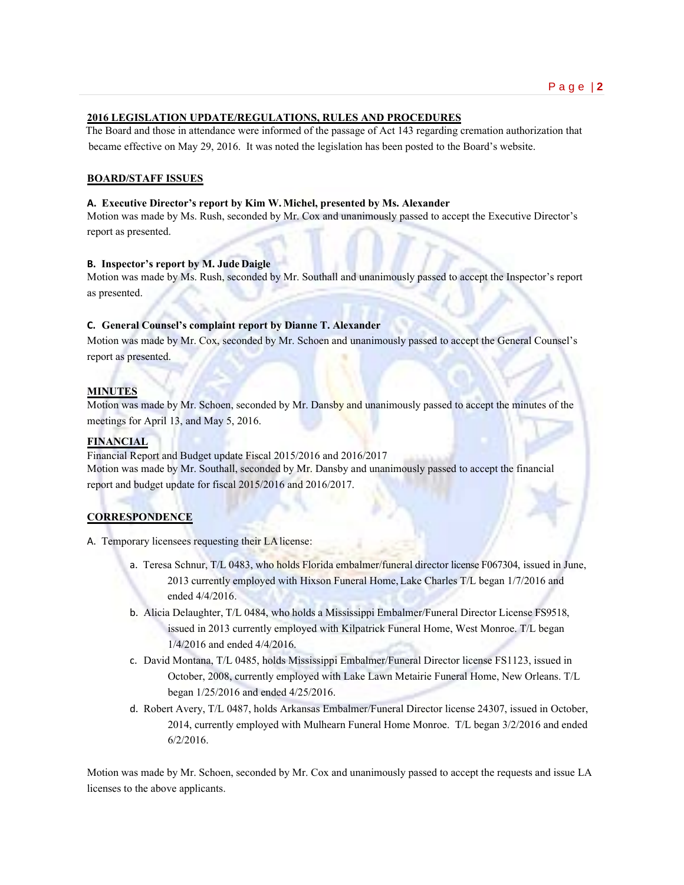## **2016 LEGISLATION UPDATE/REGULATIONS, RULES AND PROCEDURES**

 The Board and those in attendance were informed of the passage of Act 143 regarding cremation authorization that became effective on May 29, 2016. It was noted the legislation has been posted to the Board's website.

# **BOARD/STAFF ISSUES**

## **A. Executive Director's report by Kim W.Michel, presented by Ms. Alexander**

Motion was made by Ms. Rush, seconded by Mr. Cox and unanimously passed to accept the Executive Director's report as presented.

#### **B. Inspector's report by M. JudeDaigle**

Motion was made by Ms. Rush, seconded by Mr. Southall and unanimously passed to accept the Inspector's report as presented.

## **C. General Counsel's complaint report by Dianne T. Alexander**

Motion was made by Mr. Cox, seconded by Mr. Schoen and unanimously passed to accept the General Counsel's report as presented.

#### **MINUTES**

Motion was made by Mr. Schoen, seconded by Mr. Dansby and unanimously passed to accept the minutes of the meetings for April 13, and May 5, 2016.

#### **FINANCIAL**

Financial Report and Budget update Fiscal 2015/2016 and 2016/2017 Motion was made by Mr. Southall, seconded by Mr. Dansby and unanimously passed to accept the financial report and budget update for fiscal 2015/2016 and 2016/2017.

## **CORRESPONDENCE**

A. Temporary licensees requesting their LAlicense:

- a. Teresa Schnur, T/L 0483, who holds Florida embalmer/funeral director license F067304, issued in June, 2013 currently employed with Hixson Funeral Home,Lake Charles T/L began 1/7/2016 and ended 4/4/2016.
- b. Alicia Delaughter, T/L 0484, who holds a Mississippi Embalmer/Funeral Director License FS9518, issued in 2013 currently employed with Kilpatrick Funeral Home, West Monroe. T/L began 1/4/2016 and ended 4/4/2016.
- c. David Montana, T/L 0485, holds Mississippi Embalmer/Funeral Director license FS1123, issued in October, 2008, currently employed with Lake Lawn Metairie Funeral Home, New Orleans. T/L began 1/25/2016 and ended 4/25/2016.
- d. Robert Avery, T/L 0487, holds Arkansas Embalmer/Funeral Director license 24307, issued in October, 2014, currently employed with Mulhearn Funeral Home Monroe. T/L began 3/2/2016 and ended 6/2/2016.

Motion was made by Mr. Schoen, seconded by Mr. Cox and unanimously passed to accept the requests and issue LA licenses to the above applicants.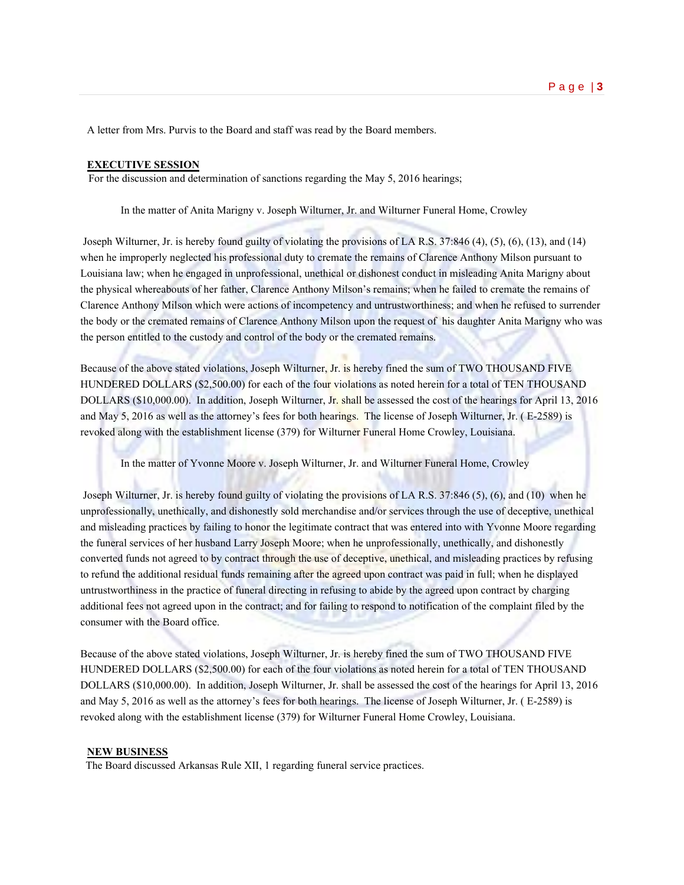A letter from Mrs. Purvis to the Board and staff was read by the Board members.

#### **EXECUTIVE SESSION**

For the discussion and determination of sanctions regarding the May 5, 2016 hearings;

In the matter of Anita Marigny v. Joseph Wilturner, Jr. and Wilturner Funeral Home, Crowley

Joseph Wilturner, Jr. is hereby found guilty of violating the provisions of LA R.S. 37:846 (4), (5), (6), (13), and (14) when he improperly neglected his professional duty to cremate the remains of Clarence Anthony Milson pursuant to Louisiana law; when he engaged in unprofessional, unethical or dishonest conduct in misleading Anita Marigny about the physical whereabouts of her father, Clarence Anthony Milson's remains; when he failed to cremate the remains of Clarence Anthony Milson which were actions of incompetency and untrustworthiness; and when he refused to surrender the body or the cremated remains of Clarence Anthony Milson upon the request of his daughter Anita Marigny who was the person entitled to the custody and control of the body or the cremated remains.

Because of the above stated violations, Joseph Wilturner, Jr. is hereby fined the sum of TWO THOUSAND FIVE HUNDERED DOLLARS (\$2,500.00) for each of the four violations as noted herein for a total of TEN THOUSAND DOLLARS (\$10,000.00). In addition, Joseph Wilturner, Jr. shall be assessed the cost of the hearings for April 13, 2016 and May 5, 2016 as well as the attorney's fees for both hearings. The license of Joseph Wilturner, Jr. ( E-2589) is revoked along with the establishment license (379) for Wilturner Funeral Home Crowley, Louisiana.

In the matter of Yvonne Moore v. Joseph Wilturner, Jr. and Wilturner Funeral Home, Crowley

Joseph Wilturner, Jr. is hereby found guilty of violating the provisions of LA R.S. 37:846 (5), (6), and (10) when he unprofessionally, unethically, and dishonestly sold merchandise and/or services through the use of deceptive, unethical and misleading practices by failing to honor the legitimate contract that was entered into with Yvonne Moore regarding the funeral services of her husband Larry Joseph Moore; when he unprofessionally, unethically, and dishonestly converted funds not agreed to by contract through the use of deceptive, unethical, and misleading practices by refusing to refund the additional residual funds remaining after the agreed upon contract was paid in full; when he displayed untrustworthiness in the practice of funeral directing in refusing to abide by the agreed upon contract by charging additional fees not agreed upon in the contract; and for failing to respond to notification of the complaint filed by the consumer with the Board office.

Because of the above stated violations, Joseph Wilturner, Jr. is hereby fined the sum of TWO THOUSAND FIVE HUNDERED DOLLARS (\$2,500.00) for each of the four violations as noted herein for a total of TEN THOUSAND DOLLARS (\$10,000.00). In addition, Joseph Wilturner, Jr. shall be assessed the cost of the hearings for April 13, 2016 and May 5, 2016 as well as the attorney's fees for both hearings. The license of Joseph Wilturner, Jr. ( E-2589) is revoked along with the establishment license (379) for Wilturner Funeral Home Crowley, Louisiana.

#### **NEW BUSINESS**

The Board discussed Arkansas Rule XII, 1 regarding funeral service practices.